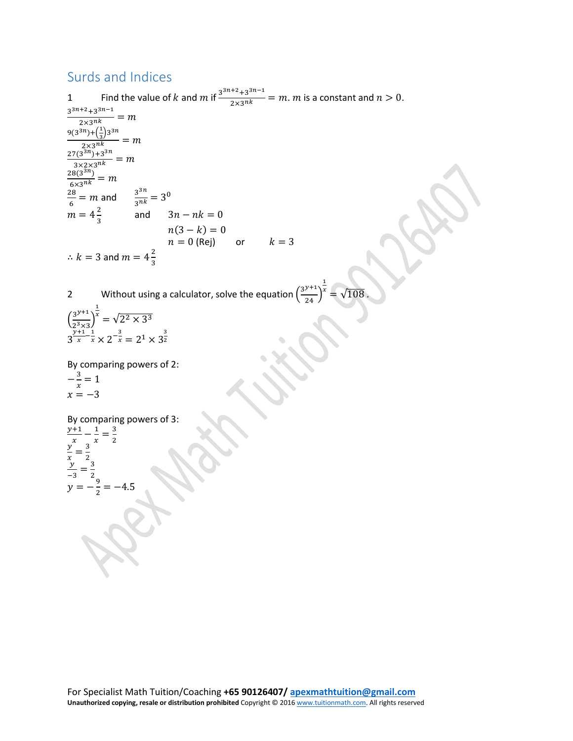## Surds and Indices

1 Find the value of k and m if  $\frac{3^{3n+2}+3^{3n-1}}{2\times3^{nk}}=m$ . m is a constant and  $n>0$ .  $\frac{3^{3n+2}+3^{3n-1}}{2\times 3^{nk}}=m$  $9(3^{3n}) + (\frac{1}{3})3^{3n}$  $\frac{2 \times 3^{nk}}{2^{2n} \cdot 3^{nk}} = m$  $\frac{27(3^{3n})+3^{3n}}{3\times 2\times 3^{nk}}=m$  $\frac{28(3^{3n})}{6 \times 3^{nk}} = m$  $\frac{28}{6}$  = m and  $\frac{3^{3n}}{3^{nk}}$  = 3<sup>0</sup>  $m = 4\frac{2}{3}$  and  $3n - nk = 0$  $n(3 - k) = 0$  $n = 0$  (Rej) or  $k = 3$  $\therefore k = 3$  and  $m = 4\frac{2}{3}$ 

2 Without using a calculator, solve the equation  $\left(\frac{3^{y+1}}{24}\right)$ 1  $\chi$ =  $\sqrt{108}$ 

 $\left(\frac{3^{y+1}}{2^3 \times 3}\right)$  $\frac{1}{2^3 \times 3}$ 1  $x^x = \sqrt{2^2 \times 3^3}$  $3\frac{y+1}{x}-\frac{1}{x} \times 2^{-\frac{3}{x}} = 2^1 \times 3^{\frac{3}{2}}$ 2

By comparing powers of 2:  $-\frac{3}{x} = 1$  $x = -3$ 

By comparing powers of 3:  $\frac{y+1}{x} - \frac{1}{x} = \frac{3}{2}$ <br>  $\frac{y}{x} = \frac{3}{2}$ <br>  $y = -\frac{9}{2} = -4.5$ 2 

For Specialist Math Tuition/Coaching **+65 90126407/ [apexmathtuition@gmail.com](mailto:apexmathtuition@gmail.com) Unauthorized copying, resale or distribution prohibited** Copyright © 201[6 www.tuitionmath.com.](http://www.tuitionmath.com/) All rights reserved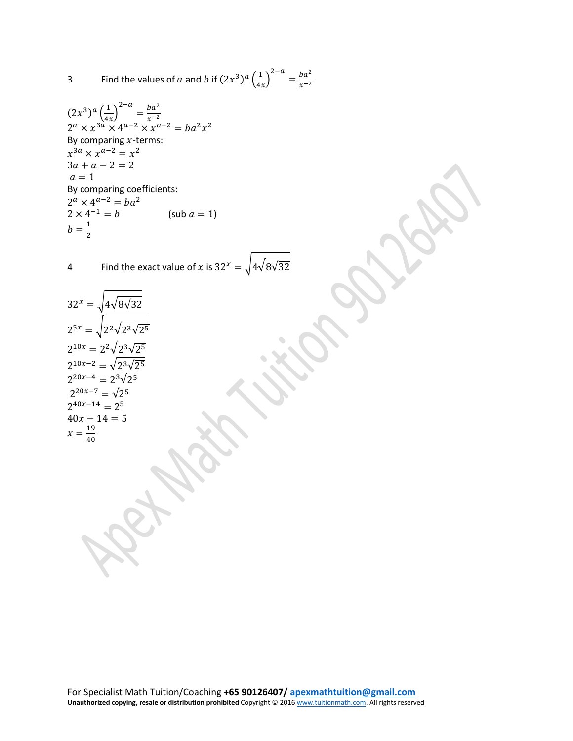3 Find the values of a and b if 
$$
(2x^3)^a \left(\frac{1}{4x}\right)^{2-a} = \frac{ba^2}{x^{-2}}
$$

$$
(2x3)a \left(\frac{1}{4x}\right)^{2-a} = \frac{ba^{2}}{x^{-2}}
$$
  
\n
$$
2^{a} \times x^{3a} \times 4^{a-2} \times x^{a-2} = ba^{2}x^{2}
$$
  
\nBy comparing *x*-terms:  
\n
$$
x^{3a} \times x^{a-2} = x^{2}
$$
  
\n
$$
3a + a - 2 = 2
$$
  
\n
$$
a = 1
$$
  
\nBy comparing coefficients:  
\n
$$
2^{a} \times 4^{a-2} = ba^{2}
$$
  
\n
$$
2 \times 4^{-1} = b
$$
 (sub  $a = 1$ )  
\n
$$
b = \frac{1}{2}
$$

4 Find the exact value of x is  $32^x = \sqrt{4\sqrt{8\sqrt{32}}}$ 

$$
32^{x} = \sqrt{4\sqrt{8\sqrt{32}}}
$$
  
\n
$$
2^{5x} = \sqrt{2^2\sqrt{2^3\sqrt{2^5}}}
$$
  
\n
$$
2^{10x} = 2^2\sqrt{2^3\sqrt{2^5}}
$$
  
\n
$$
2^{10x-2} = \sqrt{2^3\sqrt{2^5}}
$$
  
\n
$$
2^{20x-4} = 2^3\sqrt{2^5}
$$
  
\n
$$
2^{20x-7} = \sqrt{2^5}
$$
  
\n
$$
2^{40x-14} = 2^5
$$
  
\n
$$
40x - 14 = 5
$$
  
\n
$$
x = \frac{19}{40}
$$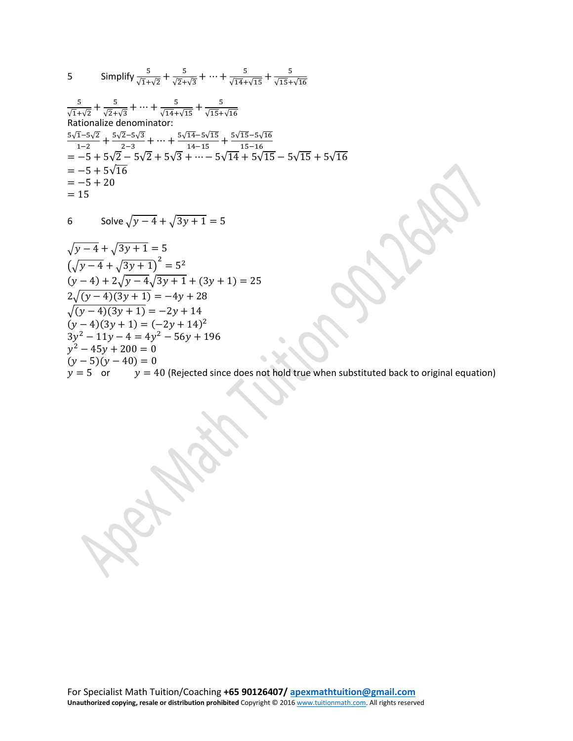5 Simplify 
$$
\frac{5}{\sqrt{1+\sqrt{2}}} + \frac{5}{\sqrt{2+\sqrt{3}}} + \dots + \frac{5}{\sqrt{14}+\sqrt{15}} + \frac{5}{\sqrt{15}+\sqrt{16}}
$$
  
\n $\frac{5}{\sqrt{1+\sqrt{2}}} + \frac{5}{\sqrt{2+\sqrt{3}}} + \dots + \frac{5}{\sqrt{14}+\sqrt{15}} + \frac{5}{\sqrt{15}+\sqrt{16}}$   
\nRationalize denominator:  
\n $\frac{5\sqrt{1}-5\sqrt{2}}{1-2} + \frac{5\sqrt{2}-5\sqrt{3}}{2-3} + \dots + \frac{5\sqrt{14}-5\sqrt{15}}{14-15} + \frac{5\sqrt{15}-5\sqrt{16}}{15-16}$   
\n $= -5 + 5\sqrt{2} - 5\sqrt{2} + 5\sqrt{3} + \dots - 5\sqrt{14} + 5\sqrt{15} - 5\sqrt{15} + 5\sqrt{16}$   
\n $= -5 + 5\sqrt{16}$   
\n $= -5 + 20$   
\n $= 15$ 

6 Solve 
$$
\sqrt{y-4} + \sqrt{3y+1} = 5
$$

$$
\sqrt{y-4} + \sqrt{3y+1} = 5
$$
  
\n
$$
(\sqrt{y-4} + \sqrt{3y+1})^2 = 5^2
$$
  
\n
$$
(y-4) + 2\sqrt{y-4}\sqrt{3y+1} + (3y+1) = 25
$$
  
\n
$$
2\sqrt{(y-4)(3y+1)} = -4y+28
$$
  
\n
$$
\sqrt{(y-4)(3y+1)} = -2y+14
$$
  
\n
$$
(y-4)(3y+1) = (-2y+14)^2
$$
  
\n
$$
3y^2 - 11y - 4 = 4y^2 - 56y + 196
$$
  
\n
$$
y^2 - 45y + 200 = 0
$$
  
\n
$$
(y-5)(y-40) = 0
$$
  
\n
$$
y = 5
$$
 or  $y = 40$  (Rejected since does not hold true when substituted back to original equation)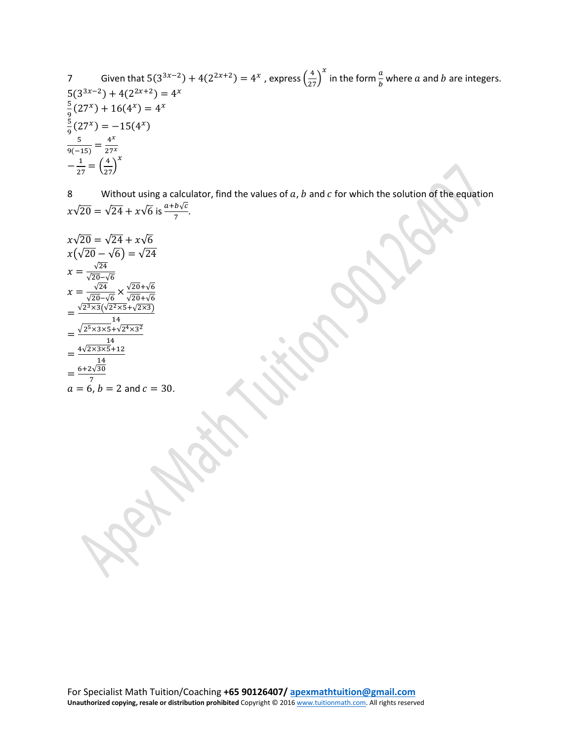7 Given that 
$$
5(3^{3x-2}) + 4(2^{2x+2}) = 4^x
$$
, express  $(\frac{4}{27})^x$  in the form  $\frac{a}{b}$  where *a* and *b* are integers.  
\n
$$
\frac{5}{9}(27^x) + 16(4^x) = 4^x
$$
\n
$$
\frac{5}{9}(27^x) = -15(4^x)
$$
\n
$$
\frac{5}{9(-15)} = \frac{4^x}{27^x}
$$
\n
$$
-\frac{1}{27} = (\frac{4}{27})^x
$$

8 Without using a calculator, find the values of  $a$ ,  $b$  and  $c$  for which the solution of the equation  $x\sqrt{20} = \sqrt{24} + x\sqrt{6}$  is  $\frac{a+b\sqrt{c}}{7}$ .

$$
x\sqrt{20} = \sqrt{24} + x\sqrt{6}
$$
  
\n
$$
x(\sqrt{20} - \sqrt{6}) = \sqrt{24}
$$
  
\n
$$
x = \frac{\sqrt{24}}{\sqrt{20} - \sqrt{6}}
$$
  
\n
$$
x = \frac{\sqrt{24}}{\sqrt{20} - \sqrt{6}} \times \frac{\sqrt{20} + \sqrt{6}}{\sqrt{20} + \sqrt{6}}
$$
  
\n
$$
= \frac{\sqrt{2^3 \times 3}(\sqrt{2^2 \times 5} + \sqrt{2^3 \times 3})}{14}
$$
  
\n
$$
= \frac{\sqrt{2^5 \times 3 \times 5} + \sqrt{2^4 \times 3^2}}{14}
$$
  
\n
$$
= \frac{4\sqrt{2 \times 3 \times 5} + 12}{14}
$$
  
\n
$$
= \frac{6 + 2\sqrt{30}}{7}
$$
  
\n
$$
a = 6, b = 2 \text{ and } c = 30.
$$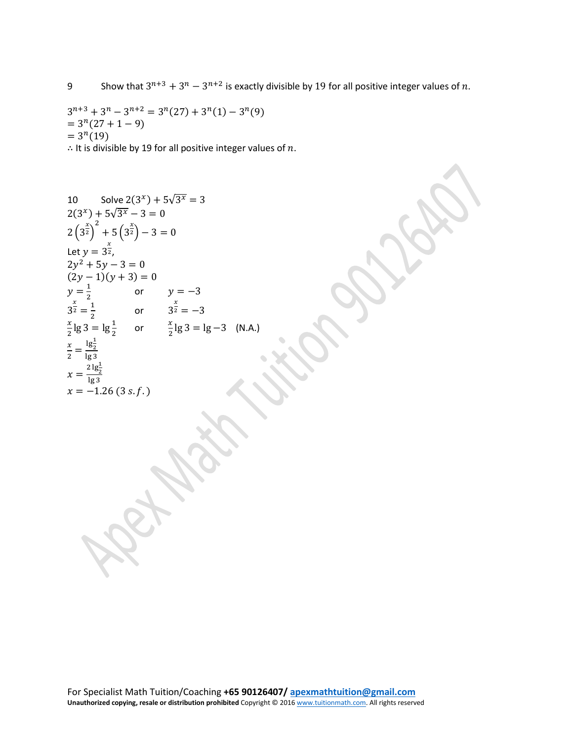$3^{n+3} + 3^n - 3^{n+2} = 3^n(27) + 3^n(1) - 3^n(9)$  $= 3<sup>n</sup>(27 + 1 - 9)$  $= 3^n(19)$ 

∴ It is divisible by 19 for all positive integer values of  $n$ .

10 Solve 
$$
2(3^{x}) + 5\sqrt{3^{x}} = 3
$$
  
\n $2(3^{x}) + 5\sqrt{3^{x}} - 3 = 0$   
\n $2(3^{\frac{x}{2}})^{2} + 5(3^{\frac{x}{2}}) - 3 = 0$   
\nLet  $y = 3^{\frac{x}{2}}$ ,  
\n $2y^{2} + 5y - 3 = 0$   
\n $(2y - 1)(y + 3) = 0$   
\n $y = \frac{1}{2}$  or  $y = -3$   
\n $3^{\frac{x}{2}} = \frac{1}{2}$  or  $3^{\frac{x}{2}} = -3$   
\n $\frac{x}{2}$ lg 3 = lg $\frac{1}{2}$  or  $\frac{x}{2}$ lg 3 = lg -3 (N.A.)  
\n $\frac{x}{2} = \frac{1}{2} \frac{1}{2}$   
\n $x = \frac{21}{2} \frac{1}{2}$   
\n $x = -1.26 (3 s.f.)$